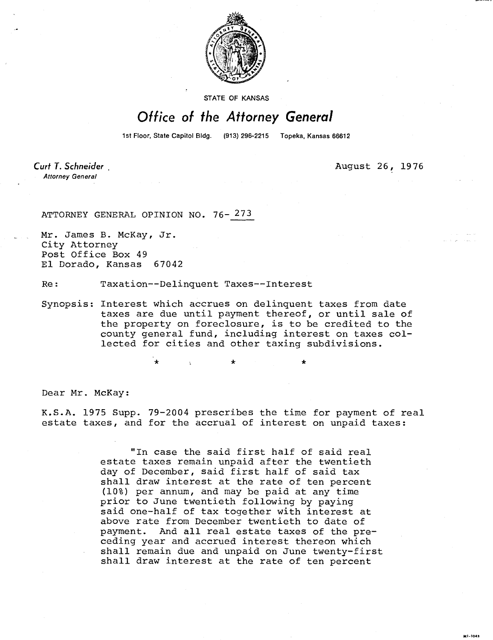

STATE OF KANSAS

## Office of the Attorney General

1st Floor, State Capitol Bldg.

(913) 296-2215 Topeka, Kansas 66612

Curt T. Schneider **Attorney General** 

August 26, 1976

ATTORNEY GENERAL OPINION NO. 76-273

Mr. James B. McKay, Jr. City Attorney Post Office Box 49 El Dorado, Kansas 67042

Re: Taxation--Delinquent Taxes--Interest

Synopsis: Interest which accrues on delinquent taxes from date taxes are due until payment thereof, or until sale of the property on foreclosure, is to be credited to the county general fund, including interest on taxes collected for cities and other taxing subdivisions.

Dear Mr. McKay:

K.S.A. 1975 Supp. 79-2004 prescribes the time for payment of real estate taxes, and for the accrual of interest on unpaid taxes:

> "In case the said first half of said real estate taxes remain unpaid after the twentieth day of December, said first half of said tax shall draw interest at the rate of ten percent (10%) per annum, and may be paid at any time prior to June twentieth following by paying said one-half of tax together with interest at above rate from December twentieth to date of payment. And all real estate taxes of the preceding year and accrued interest thereon which shall remain due and unpaid on June twenty-first shall draw interest at the rate of ten percent